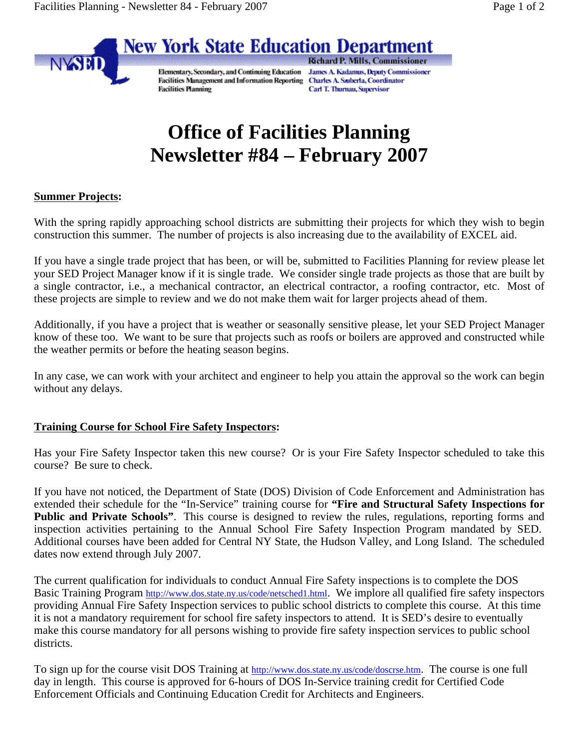

Elementary, Secondary, and Continuing Education Facilities Management and Information Reporting Charles A. Szuberla, Coordinator **Facilities Planning** 

**Richard P. Mills, Commissioner James A. Kadamus, Deputy Commissioner** Carl T. Thurnau, Supervisor

## **Office of Facilities Planning Newsletter #84 – February 2007**

## **Summer Projects:**

NYSED

With the spring rapidly approaching school districts are submitting their projects for which they wish to begin construction this summer. The number of projects is also increasing due to the availability of EXCEL aid.

If you have a single trade project that has been, or will be, submitted to Facilities Planning for review please let your SED Project Manager know if it is single trade. We consider single trade projects as those that are built by a single contractor, i.e., a mechanical contractor, an electrical contractor, a roofing contractor, etc. Most of these projects are simple to review and we do not make them wait for larger projects ahead of them.

Additionally, if you have a project that is weather or seasonally sensitive please, let your SED Project Manager know of these too. We want to be sure that projects such as roofs or boilers are approved and constructed while the weather permits or before the heating season begins.

In any case, we can work with your architect and engineer to help you attain the approval so the work can begin without any delays.

## **Training Course for School Fire Safety Inspectors:**

Has your Fire Safety Inspector taken this new course? Or is your Fire Safety Inspector scheduled to take this course? Be sure to check.

If you have not noticed, the Department of State (DOS) Division of Code Enforcement and Administration has extended their schedule for the "In-Service" training course for **"Fire and Structural Safety Inspections for Public and Private Schools"**. This course is designed to review the rules, regulations, reporting forms and inspection activities pertaining to the Annual School Fire Safety Inspection Program mandated by SED. Additional courses have been added for Central NY State, the Hudson Valley, and Long Island. The scheduled dates now extend through July 2007.

The current qualification for individuals to conduct Annual Fire Safety inspections is to complete the DOS Basic Training Program http://www.dos.state.ny.us/code/netsched1.html. We implore all qualified fire safety inspectors providing Annual Fire Safety Inspection services to public school districts to complete this course. At this time it is not a mandatory requirement for school fire safety inspectors to attend. It is SED's desire to eventually make this course mandatory for all persons wishing to provide fire safety inspection services to public school districts.

To sign up for the course visit DOS Training at http://www.dos.state.ny.us/code/doscrse.htm. The course is one full day in length. This course is approved for 6-hours of DOS In-Service training credit for Certified Code Enforcement Officials and Continuing Education Credit for Architects and Engineers.